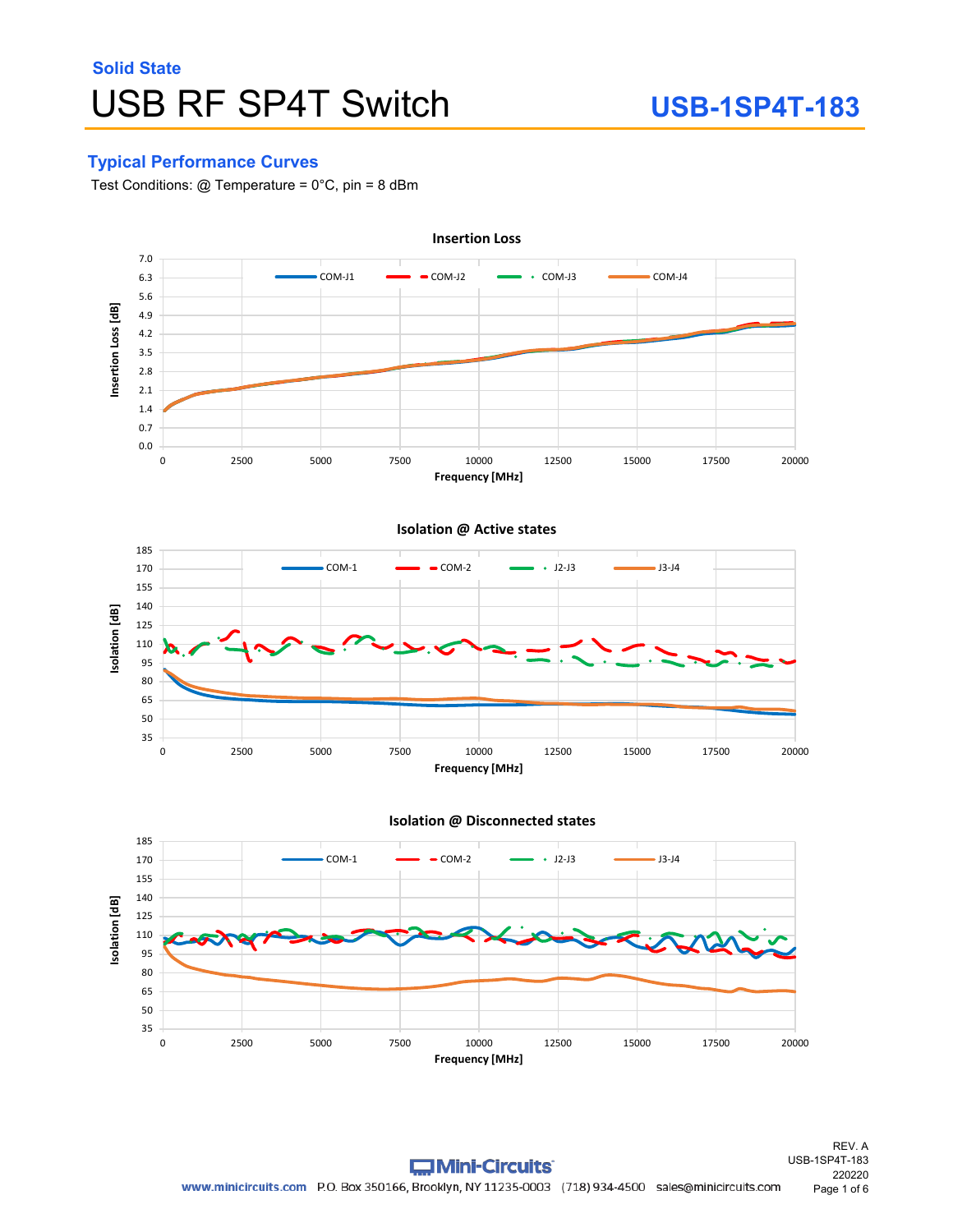### **Typical Performance Curves**

Test Conditions:  $@$  Temperature =  $0^{\circ}$ C, pin = 8 dBm



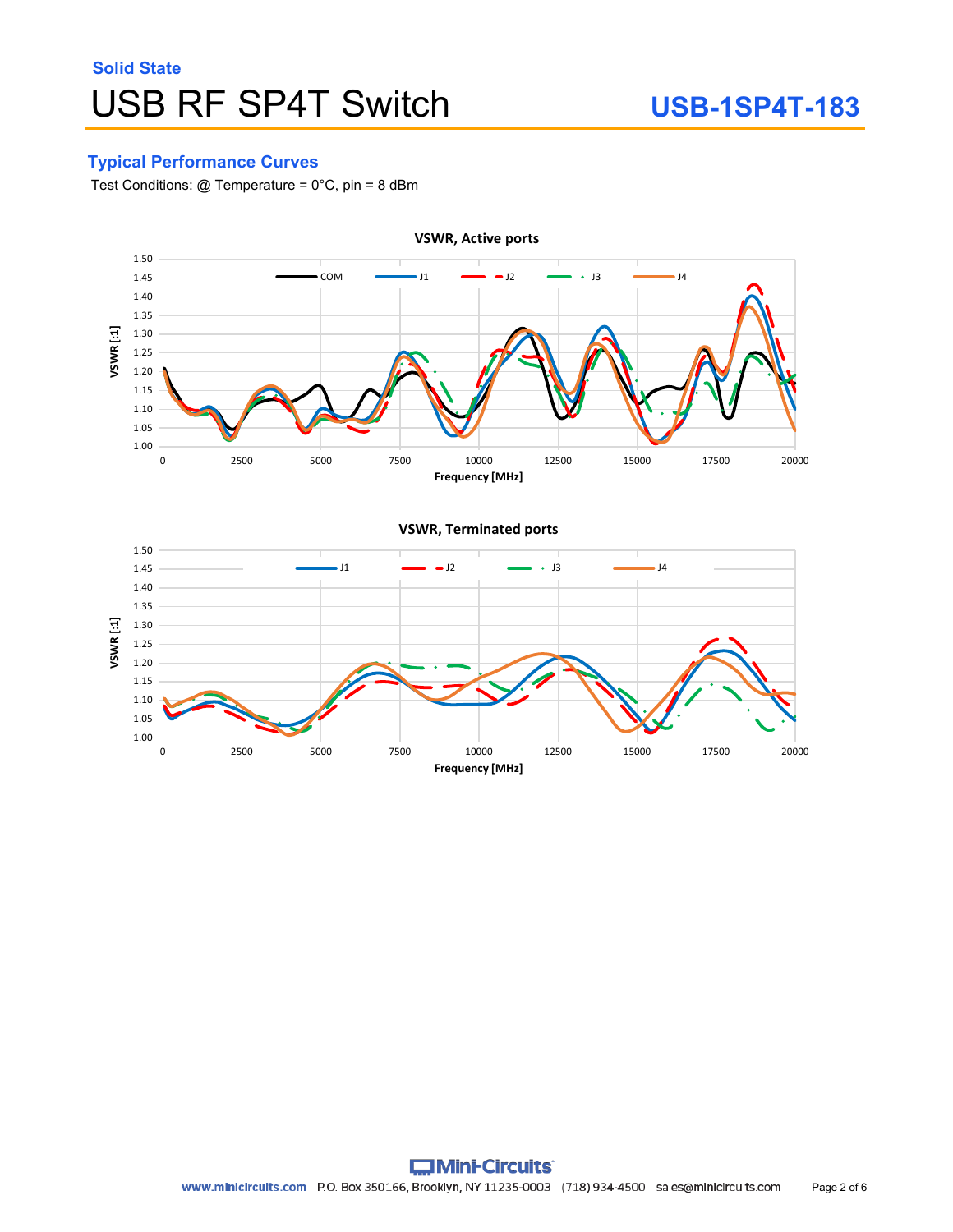### **Typical Performance Curves**

Test Conditions: @ Temperature = 0°C, pin = 8 dBm

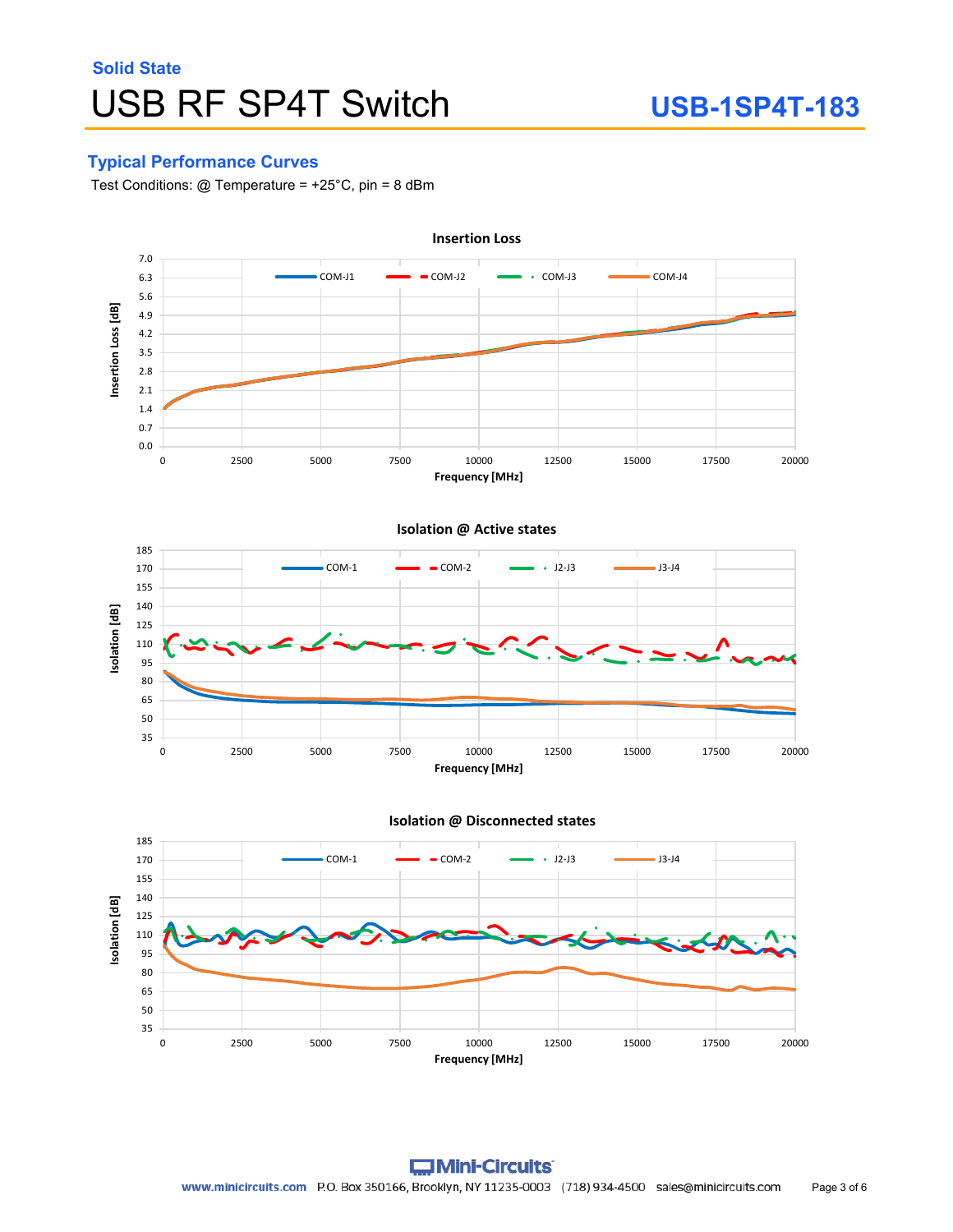#### **Typical Performance Curves**

Test Conditions: @ Temperature = +25°C, pin = 8 dBm





**Isolation @ Disconnected states**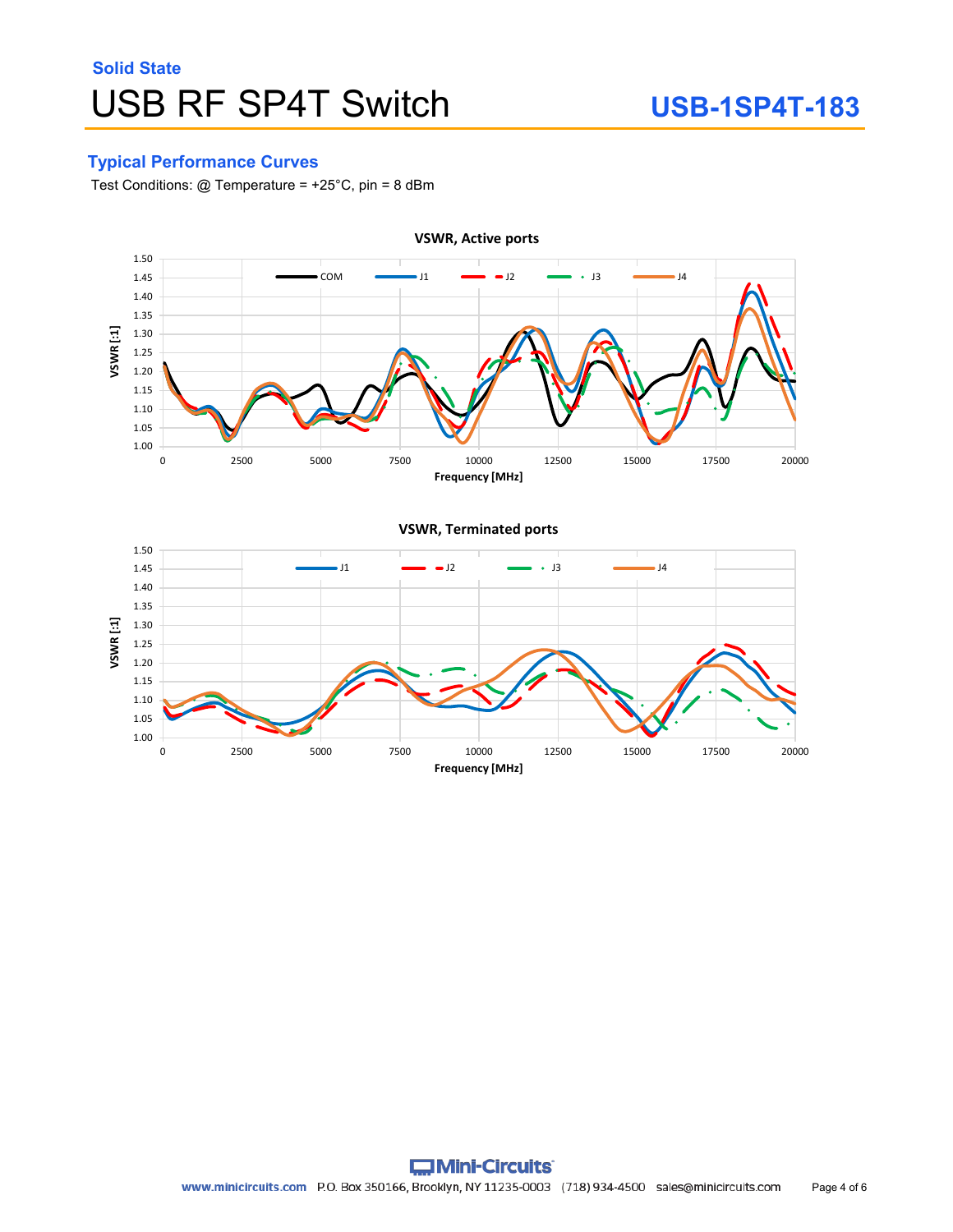### **Typical Performance Curves**

Test Conditions: @ Temperature = +25°C, pin = 8 dBm

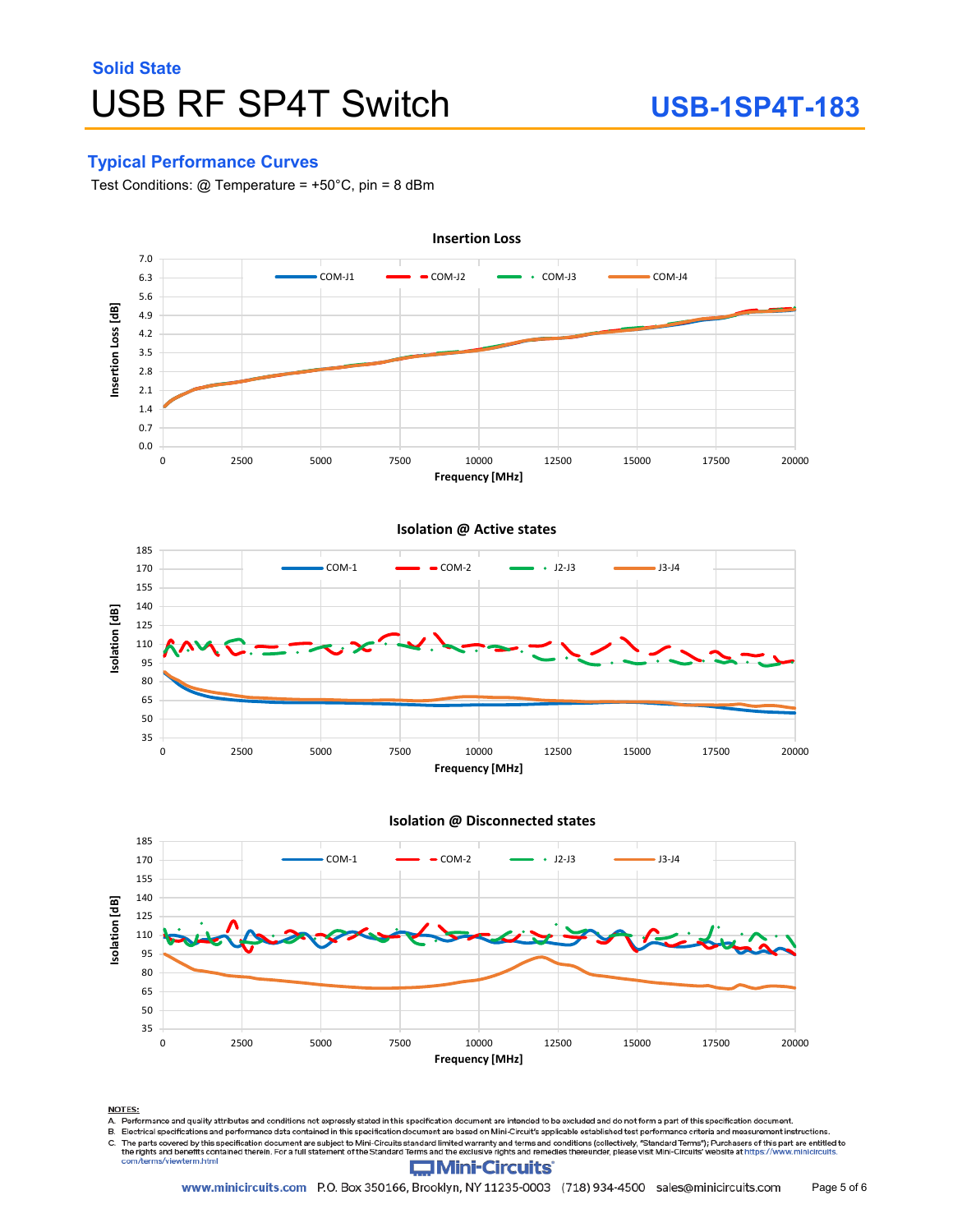### **Typical Performance Curves**

Test Conditions: @ Temperature = +50°C, pin = 8 dBm





**NOTES:** 

com/terms/viewterm.html

.<br>A. Performance and quality attributes and conditions not expressly stated in this specification document are intended to be excluded and do not form a part of this specification document.<br>B. Electrical specifications and

revenue and the parts covered by this specification document are subject to Mini-Circuits standard limited warranty and terms and conditions (collectively, "Standard Terms"); Purchasers of this part are entitled to<br>The rig C.

#### **Mini-Circuits**